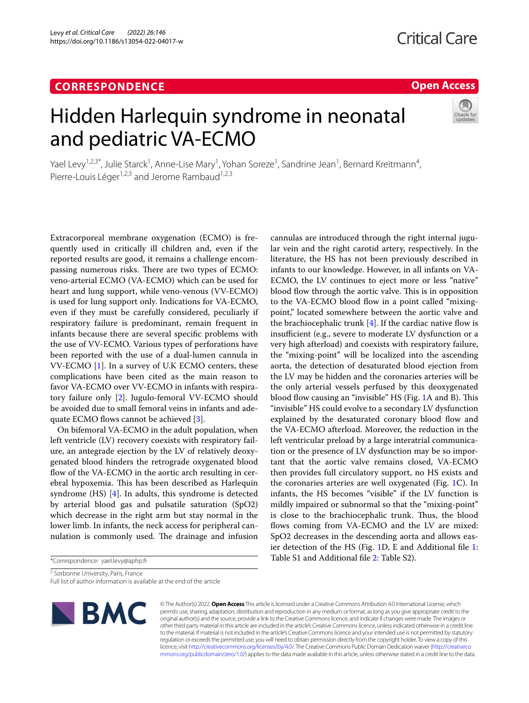# **CORRESPONDENCE**

# **Open Access**

# Hidden Harlequin syndrome in neonatal and pediatric VA-ECMO



Yael Levy<sup>1,2,3\*</sup>, Julie Starck<sup>1</sup>, Anne-Lise Mary<sup>1</sup>, Yohan Soreze<sup>1</sup>, Sandrine Jean<sup>1</sup>, Bernard Kreitmann<sup>4</sup>, Pierre-Louis Léger<sup>1,2,3</sup> and Jerome Rambaud<sup>1,2,3</sup>

Extracorporeal membrane oxygenation (ECMO) is frequently used in critically ill children and, even if the reported results are good, it remains a challenge encompassing numerous risks. There are two types of ECMO: veno-arterial ECMO (VA-ECMO) which can be used for heart and lung support, while veno-venous (VV-ECMO) is used for lung support only. Indications for VA-ECMO, even if they must be carefully considered, peculiarly if respiratory failure is predominant, remain frequent in infants because there are several specifc problems with the use of VV-ECMO. Various types of perforations have been reported with the use of a dual-lumen cannula in VV-ECMO [\[1](#page-2-0)]. In a survey of U.K ECMO centers, these complications have been cited as the main reason to favor VA-ECMO over VV-ECMO in infants with respiratory failure only [[2\]](#page-2-1). Jugulo-femoral VV-ECMO should be avoided due to small femoral veins in infants and ade-quate ECMO flows cannot be achieved [[3\]](#page-2-2).

On bifemoral VA-ECMO in the adult population, when left ventricle (LV) recovery coexists with respiratory failure, an antegrade ejection by the LV of relatively deoxygenated blood hinders the retrograde oxygenated blood flow of the VA-ECMO in the aortic arch resulting in cerebral hypoxemia. This has been described as Harlequin syndrome (HS) [\[4](#page-2-3)]. In adults, this syndrome is detected by arterial blood gas and pulsatile saturation (SpO2) which decrease in the right arm but stay normal in the lower limb. In infants, the neck access for peripheral cannulation is commonly used. The drainage and infusion

\*Correspondence: yael.levy@aphp.fr

<sup>2</sup> Sorbonne University, Paris, France

Full list of author information is available at the end of the article



lar vein and the right carotid artery, respectively. In the literature, the HS has not been previously described in infants to our knowledge. However, in all infants on VA-ECMO, the LV continues to eject more or less "native" blood flow through the aortic valve. This is in opposition to the VA-ECMO blood flow in a point called "mixingpoint," located somewhere between the aortic valve and the brachiocephalic trunk  $[4]$  $[4]$ . If the cardiac native flow is insufficient (e.g., severe to moderate LV dysfunction or a very high afterload) and coexists with respiratory failure, the "mixing-point" will be localized into the ascending aorta, the detection of desaturated blood ejection from the LV may be hidden and the coronaries arteries will be the only arterial vessels perfused by this deoxygenated blood flow causing an "invisible" HS (Fig. [1](#page-1-0)A and B). This "invisible" HS could evolve to a secondary LV dysfunction explained by the desaturated coronary blood flow and the VA-ECMO afterload. Moreover, the reduction in the left ventricular preload by a large interatrial communication or the presence of LV dysfunction may be so important that the aortic valve remains closed, VA-ECMO then provides full circulatory support, no HS exists and the coronaries arteries are well oxygenated (Fig. [1](#page-1-0)C). In infants, the HS becomes "visible" if the LV function is mildly impaired or subnormal so that the "mixing-point" is close to the brachiocephalic trunk. Thus, the blood flows coming from VA-ECMO and the LV are mixed: SpO2 decreases in the descending aorta and allows easier detection of the HS (Fig. [1D](#page-1-0), E and Additional fle [1](#page-2-4): Table S1 and Additional fle [2](#page-2-5): Table S2).

cannulas are introduced through the right internal jugu-

© The Author(s) 2022. **Open Access** This article is licensed under a Creative Commons Attribution 4.0 International License, which permits use, sharing, adaptation, distribution and reproduction in any medium or format, as long as you give appropriate credit to the original author(s) and the source, provide a link to the Creative Commons licence, and indicate if changes were made. The images or other third party material in this article are included in the article's Creative Commons licence, unless indicated otherwise in a credit line to the material. If material is not included in the article's Creative Commons licence and your intended use is not permitted by statutory regulation or exceeds the permitted use, you will need to obtain permission directly from the copyright holder. To view a copy of this licence, visit [http://creativecommons.org/licenses/by/4.0/.](http://creativecommons.org/licenses/by/4.0/) The Creative Commons Public Domain Dedication waiver ([http://creativeco](http://creativecommons.org/publicdomain/zero/1.0/) [mmons.org/publicdomain/zero/1.0/](http://creativecommons.org/publicdomain/zero/1.0/)) applies to the data made available in this article, unless otherwise stated in a credit line to the data.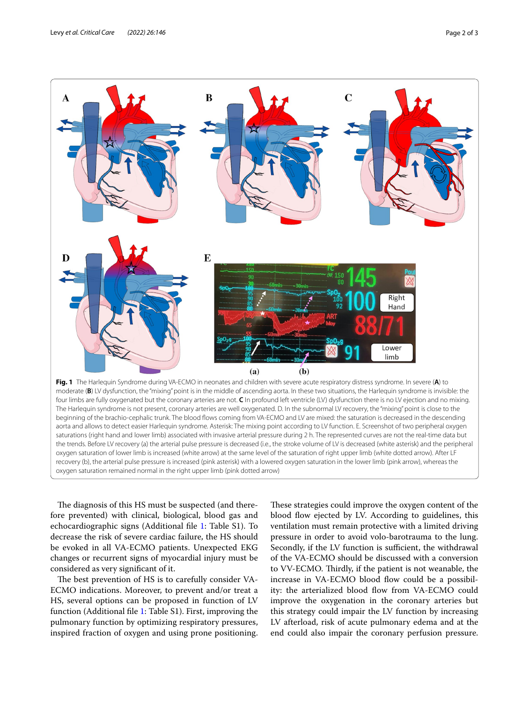

<span id="page-1-0"></span>moderate (B) LV dysfunction, the "mixing" point is in the middle of ascending aorta. In these two situations, the Harlequin syndrome is invisible: the four limbs are fully oxygenated but the coronary arteries are not. **C** In profound left ventricle (LV) dysfunction there is no LV ejection and no mixing. The Harlequin syndrome is not present, coronary arteries are well oxygenated. D. In the subnormal LV recovery, the "mixing" point is close to the beginning of the brachio-cephalic trunk. The blood fows coming from VA-ECMO and LV are mixed: the saturation is decreased in the descending aorta and allows to detect easier Harlequin syndrome. Asterisk: The mixing point according to LV function. E. Screenshot of two peripheral oxygen saturations (right hand and lower limb) associated with invasive arterial pressure during 2 h. The represented curves are not the real-time data but the trends. Before LV recovery (a) the arterial pulse pressure is decreased (i.e., the stroke volume of LV is decreased (white asterisk) and the peripheral oxygen saturation of lower limb is increased (white arrow) at the same level of the saturation of right upper limb (white dotted arrow). After LF recovery (b), the arterial pulse pressure is increased (pink asterisk) with a lowered oxygen saturation in the lower limb (pink arrow), whereas the oxygen saturation remained normal in the right upper limb (pink dotted arrow)

The diagnosis of this HS must be suspected (and therefore prevented) with clinical, biological, blood gas and echocardiographic signs (Additional fle [1](#page-2-4): Table S1). To decrease the risk of severe cardiac failure, the HS should be evoked in all VA-ECMO patients. Unexpected EKG changes or recurrent signs of myocardial injury must be considered as very signifcant of it.

The best prevention of HS is to carefully consider VA-ECMO indications. Moreover, to prevent and/or treat a HS, several options can be proposed in function of LV function (Additional fle [1:](#page-2-4) Table S1). First, improving the pulmonary function by optimizing respiratory pressures, inspired fraction of oxygen and using prone positioning.

These strategies could improve the oxygen content of the blood flow ejected by LV. According to guidelines, this ventilation must remain protective with a limited driving pressure in order to avoid volo-barotrauma to the lung. Secondly, if the LV function is sufficient, the withdrawal of the VA-ECMO should be discussed with a conversion to VV-ECMO. Thirdly, if the patient is not weanable, the increase in VA-ECMO blood flow could be a possibility: the arterialized blood flow from VA-ECMO could improve the oxygenation in the coronary arteries but this strategy could impair the LV function by increasing LV afterload, risk of acute pulmonary edema and at the end could also impair the coronary perfusion pressure.